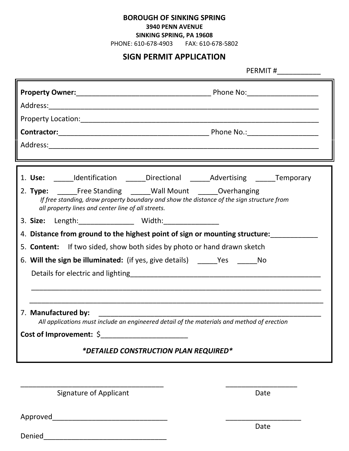**BOROUGH OF SINKING SPRING**

## **3940 PENN AVENUE**

**SINKING SPRING, PA 19608**

PHONE: 610-678-4903 FAX: 610-678-5802

## **SIGN PERMIT APPLICATION**

| PERMIT #                                                                                                                                                                                                    |
|-------------------------------------------------------------------------------------------------------------------------------------------------------------------------------------------------------------|
|                                                                                                                                                                                                             |
|                                                                                                                                                                                                             |
|                                                                                                                                                                                                             |
|                                                                                                                                                                                                             |
|                                                                                                                                                                                                             |
| <u> 1989 - Andrea Santa Andrea Andrea Andrea Andrea Andrea Andrea Andrea Andrea Andrea Andrea Andrea Andrea Andr</u>                                                                                        |
| 1. Use: ______Identification ______Directional ______Advertising ______Temporary                                                                                                                            |
| 2. Type: Free Standing _____Wall Mount ______Overhanging<br>If free standing, draw property boundary and show the distance of the sign structure from<br>all property lines and center line of all streets. |
| 3. Size: Length: _______________ Width: _______________                                                                                                                                                     |
| 4. Distance from ground to the highest point of sign or mounting structure:                                                                                                                                 |
| 5. <b>Content:</b> If two sided, show both sides by photo or hand drawn sketch                                                                                                                              |
| 6. Will the sign be illuminated: (if yes, give details) _______Yes __________No                                                                                                                             |
|                                                                                                                                                                                                             |
|                                                                                                                                                                                                             |
|                                                                                                                                                                                                             |
| 7. Manufactured by:<br>All applications must include an engineered detail of the materials and method of erection                                                                                           |
|                                                                                                                                                                                                             |
| <i>*DETAILED CONSTRUCTION PLAN REQUIRED*</i>                                                                                                                                                                |

\_\_\_\_\_\_\_\_\_\_\_\_\_\_\_\_\_\_\_\_\_\_\_\_\_\_\_\_\_\_\_\_\_\_\_\_ \_\_\_\_\_\_\_\_\_\_\_\_\_\_\_\_\_\_

Signature of Applicant Date

Approved\_\_\_\_\_\_\_\_\_\_\_\_\_\_\_\_\_\_\_\_\_\_\_\_\_\_\_\_\_ \_\_\_\_\_\_\_\_\_\_\_\_\_\_\_\_\_\_\_

Denied\_\_\_\_\_\_\_\_\_\_\_\_\_\_\_\_\_\_\_\_\_\_\_\_\_\_\_\_\_\_\_

Date